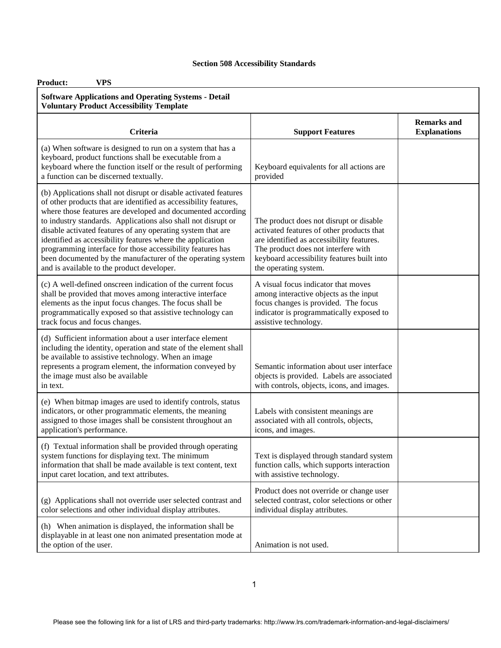| <b>VPS</b><br><b>Product:</b>                                                                                                                                                                                                                                                                                                                                                                                                                                                                                                                                                |                                                                                                                                                                                                                                                 |                                           |
|------------------------------------------------------------------------------------------------------------------------------------------------------------------------------------------------------------------------------------------------------------------------------------------------------------------------------------------------------------------------------------------------------------------------------------------------------------------------------------------------------------------------------------------------------------------------------|-------------------------------------------------------------------------------------------------------------------------------------------------------------------------------------------------------------------------------------------------|-------------------------------------------|
| <b>Software Applications and Operating Systems - Detail</b><br><b>Voluntary Product Accessibility Template</b>                                                                                                                                                                                                                                                                                                                                                                                                                                                               |                                                                                                                                                                                                                                                 |                                           |
| <b>Criteria</b>                                                                                                                                                                                                                                                                                                                                                                                                                                                                                                                                                              | <b>Support Features</b>                                                                                                                                                                                                                         | <b>Remarks</b> and<br><b>Explanations</b> |
| (a) When software is designed to run on a system that has a<br>keyboard, product functions shall be executable from a<br>keyboard where the function itself or the result of performing<br>a function can be discerned textually.                                                                                                                                                                                                                                                                                                                                            | Keyboard equivalents for all actions are<br>provided                                                                                                                                                                                            |                                           |
| (b) Applications shall not disrupt or disable activated features<br>of other products that are identified as accessibility features,<br>where those features are developed and documented according<br>to industry standards. Applications also shall not disrupt or<br>disable activated features of any operating system that are<br>identified as accessibility features where the application<br>programming interface for those accessibility features has<br>been documented by the manufacturer of the operating system<br>and is available to the product developer. | The product does not disrupt or disable<br>activated features of other products that<br>are identified as accessibility features.<br>The product does not interfere with<br>keyboard accessibility features built into<br>the operating system. |                                           |
| (c) A well-defined onscreen indication of the current focus<br>shall be provided that moves among interactive interface<br>elements as the input focus changes. The focus shall be<br>programmatically exposed so that assistive technology can<br>track focus and focus changes.                                                                                                                                                                                                                                                                                            | A visual focus indicator that moves<br>among interactive objects as the input<br>focus changes is provided. The focus<br>indicator is programmatically exposed to<br>assistive technology.                                                      |                                           |
| (d) Sufficient information about a user interface element<br>including the identity, operation and state of the element shall<br>be available to assistive technology. When an image<br>represents a program element, the information conveyed by<br>the image must also be available<br>in text.                                                                                                                                                                                                                                                                            | Semantic information about user interface<br>objects is provided. Labels are associated<br>with controls, objects, icons, and images.                                                                                                           |                                           |
| (e) When bitmap images are used to identify controls, status<br>indicators, or other programmatic elements, the meaning<br>assigned to those images shall be consistent throughout an<br>application's performance.                                                                                                                                                                                                                                                                                                                                                          | Labels with consistent meanings are<br>associated with all controls, objects,<br>icons, and images.                                                                                                                                             |                                           |
| (f) Textual information shall be provided through operating<br>system functions for displaying text. The minimum<br>information that shall be made available is text content, text<br>input caret location, and text attributes.                                                                                                                                                                                                                                                                                                                                             | Text is displayed through standard system<br>function calls, which supports interaction<br>with assistive technology.                                                                                                                           |                                           |
| (g) Applications shall not override user selected contrast and<br>color selections and other individual display attributes.                                                                                                                                                                                                                                                                                                                                                                                                                                                  | Product does not override or change user<br>selected contrast, color selections or other<br>individual display attributes.                                                                                                                      |                                           |
| (h) When animation is displayed, the information shall be<br>displayable in at least one non animated presentation mode at<br>the option of the user.                                                                                                                                                                                                                                                                                                                                                                                                                        | Animation is not used.                                                                                                                                                                                                                          |                                           |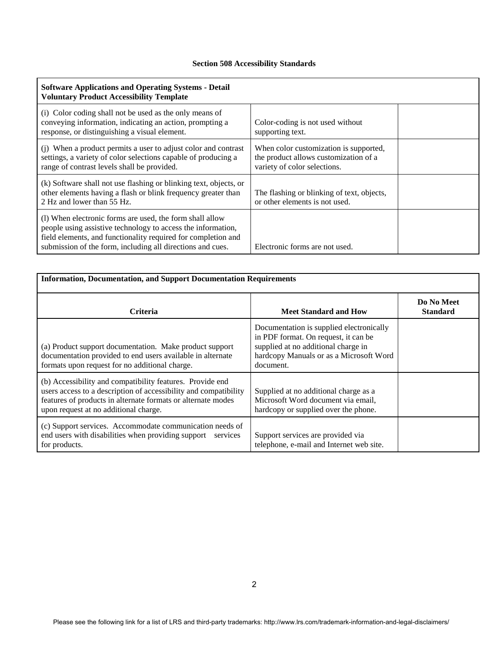| <b>Software Applications and Operating Systems - Detail</b><br><b>Voluntary Product Accessibility Template</b>                                                                                                                                          |                                                                                                                 |  |
|---------------------------------------------------------------------------------------------------------------------------------------------------------------------------------------------------------------------------------------------------------|-----------------------------------------------------------------------------------------------------------------|--|
| (i) Color coding shall not be used as the only means of<br>conveying information, indicating an action, prompting a<br>response, or distinguishing a visual element.                                                                                    | Color-coding is not used without<br>supporting text.                                                            |  |
| (i) When a product permits a user to adjust color and contrast<br>settings, a variety of color selections capable of producing a<br>range of contrast levels shall be provided.                                                                         | When color customization is supported,<br>the product allows customization of a<br>variety of color selections. |  |
| (k) Software shall not use flashing or blinking text, objects, or<br>other elements having a flash or blink frequency greater than<br>2 Hz and lower than 55 Hz.                                                                                        | The flashing or blinking of text, objects,<br>or other elements is not used.                                    |  |
| (1) When electronic forms are used, the form shall allow<br>people using assistive technology to access the information,<br>field elements, and functionality required for completion and<br>submission of the form, including all directions and cues. | Electronic forms are not used.                                                                                  |  |

| <b>Information, Documentation, and Support Documentation Requirements</b>                                                                                                                                                              |                                                                                                                                                                                 |                               |
|----------------------------------------------------------------------------------------------------------------------------------------------------------------------------------------------------------------------------------------|---------------------------------------------------------------------------------------------------------------------------------------------------------------------------------|-------------------------------|
| <b>Criteria</b>                                                                                                                                                                                                                        | <b>Meet Standard and How</b>                                                                                                                                                    | Do No Meet<br><b>Standard</b> |
| (a) Product support documentation. Make product support<br>documentation provided to end users available in alternate<br>formats upon request for no additional charge.                                                                | Documentation is supplied electronically<br>in PDF format. On request, it can be<br>supplied at no additional charge in<br>hardcopy Manuals or as a Microsoft Word<br>document. |                               |
| (b) Accessibility and compatibility features. Provide end<br>users access to a description of accessibility and compatibility<br>features of products in alternate formats or alternate modes<br>upon request at no additional charge. | Supplied at no additional charge as a<br>Microsoft Word document via email,<br>hardcopy or supplied over the phone.                                                             |                               |
| (c) Support services. Accommodate communication needs of<br>end users with disabilities when providing support<br>services<br>for products.                                                                                            | Support services are provided via<br>telephone, e-mail and Internet web site.                                                                                                   |                               |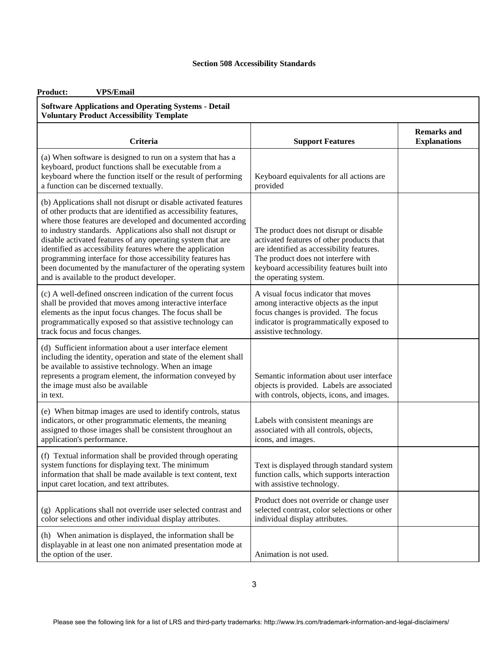| <b>VPS/Email</b><br>Product:                                                                                                                                                                                                                                                                                                                                                                                                                                                                                                                                                 |                                                                                                                                                                                                                                                 |                                           |
|------------------------------------------------------------------------------------------------------------------------------------------------------------------------------------------------------------------------------------------------------------------------------------------------------------------------------------------------------------------------------------------------------------------------------------------------------------------------------------------------------------------------------------------------------------------------------|-------------------------------------------------------------------------------------------------------------------------------------------------------------------------------------------------------------------------------------------------|-------------------------------------------|
| <b>Software Applications and Operating Systems - Detail</b><br><b>Voluntary Product Accessibility Template</b>                                                                                                                                                                                                                                                                                                                                                                                                                                                               |                                                                                                                                                                                                                                                 |                                           |
| <b>Criteria</b>                                                                                                                                                                                                                                                                                                                                                                                                                                                                                                                                                              | <b>Support Features</b>                                                                                                                                                                                                                         | <b>Remarks and</b><br><b>Explanations</b> |
| (a) When software is designed to run on a system that has a<br>keyboard, product functions shall be executable from a<br>keyboard where the function itself or the result of performing<br>a function can be discerned textually.                                                                                                                                                                                                                                                                                                                                            | Keyboard equivalents for all actions are<br>provided                                                                                                                                                                                            |                                           |
| (b) Applications shall not disrupt or disable activated features<br>of other products that are identified as accessibility features,<br>where those features are developed and documented according<br>to industry standards. Applications also shall not disrupt or<br>disable activated features of any operating system that are<br>identified as accessibility features where the application<br>programming interface for those accessibility features has<br>been documented by the manufacturer of the operating system<br>and is available to the product developer. | The product does not disrupt or disable<br>activated features of other products that<br>are identified as accessibility features.<br>The product does not interfere with<br>keyboard accessibility features built into<br>the operating system. |                                           |
| (c) A well-defined onscreen indication of the current focus<br>shall be provided that moves among interactive interface<br>elements as the input focus changes. The focus shall be<br>programmatically exposed so that assistive technology can<br>track focus and focus changes.                                                                                                                                                                                                                                                                                            | A visual focus indicator that moves<br>among interactive objects as the input<br>focus changes is provided. The focus<br>indicator is programmatically exposed to<br>assistive technology.                                                      |                                           |
| (d) Sufficient information about a user interface element<br>including the identity, operation and state of the element shall<br>be available to assistive technology. When an image<br>represents a program element, the information conveyed by<br>the image must also be available<br>in text.                                                                                                                                                                                                                                                                            | Semantic information about user interface<br>objects is provided. Labels are associated<br>with controls, objects, icons, and images.                                                                                                           |                                           |
| (e) When bitmap images are used to identify controls, status<br>indicators, or other programmatic elements, the meaning<br>assigned to those images shall be consistent throughout an<br>application's performance.                                                                                                                                                                                                                                                                                                                                                          | Labels with consistent meanings are<br>associated with all controls, objects,<br>icons, and images.                                                                                                                                             |                                           |
| (f) Textual information shall be provided through operating<br>system functions for displaying text. The minimum<br>information that shall be made available is text content, text<br>input caret location, and text attributes.                                                                                                                                                                                                                                                                                                                                             | Text is displayed through standard system<br>function calls, which supports interaction<br>with assistive technology.                                                                                                                           |                                           |
| (g) Applications shall not override user selected contrast and<br>color selections and other individual display attributes.                                                                                                                                                                                                                                                                                                                                                                                                                                                  | Product does not override or change user<br>selected contrast, color selections or other<br>individual display attributes.                                                                                                                      |                                           |
| (h) When animation is displayed, the information shall be<br>displayable in at least one non animated presentation mode at<br>the option of the user.                                                                                                                                                                                                                                                                                                                                                                                                                        | Animation is not used.                                                                                                                                                                                                                          |                                           |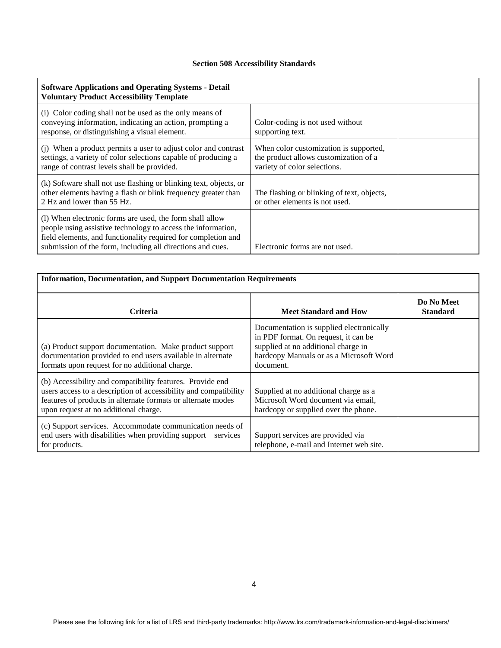| <b>Software Applications and Operating Systems - Detail</b><br><b>Voluntary Product Accessibility Template</b>                                                                                                                                          |                                                                                                                 |  |
|---------------------------------------------------------------------------------------------------------------------------------------------------------------------------------------------------------------------------------------------------------|-----------------------------------------------------------------------------------------------------------------|--|
| (i) Color coding shall not be used as the only means of<br>conveying information, indicating an action, prompting a<br>response, or distinguishing a visual element.                                                                                    | Color-coding is not used without<br>supporting text.                                                            |  |
| (j) When a product permits a user to adjust color and contrast<br>settings, a variety of color selections capable of producing a<br>range of contrast levels shall be provided.                                                                         | When color customization is supported,<br>the product allows customization of a<br>variety of color selections. |  |
| (k) Software shall not use flashing or blinking text, objects, or<br>other elements having a flash or blink frequency greater than<br>2 Hz and lower than 55 Hz.                                                                                        | The flashing or blinking of text, objects,<br>or other elements is not used.                                    |  |
| (1) When electronic forms are used, the form shall allow<br>people using assistive technology to access the information,<br>field elements, and functionality required for completion and<br>submission of the form, including all directions and cues. | Electronic forms are not used.                                                                                  |  |

| <b>Information, Documentation, and Support Documentation Requirements</b>                                                                                                                                                              |                                                                                                                                                                                 |                               |
|----------------------------------------------------------------------------------------------------------------------------------------------------------------------------------------------------------------------------------------|---------------------------------------------------------------------------------------------------------------------------------------------------------------------------------|-------------------------------|
| <b>Criteria</b>                                                                                                                                                                                                                        | <b>Meet Standard and How</b>                                                                                                                                                    | Do No Meet<br><b>Standard</b> |
| (a) Product support documentation. Make product support<br>documentation provided to end users available in alternate<br>formats upon request for no additional charge.                                                                | Documentation is supplied electronically<br>in PDF format. On request, it can be<br>supplied at no additional charge in<br>hardcopy Manuals or as a Microsoft Word<br>document. |                               |
| (b) Accessibility and compatibility features. Provide end<br>users access to a description of accessibility and compatibility<br>features of products in alternate formats or alternate modes<br>upon request at no additional charge. | Supplied at no additional charge as a<br>Microsoft Word document via email,<br>hardcopy or supplied over the phone.                                                             |                               |
| (c) Support services. Accommodate communication needs of<br>end users with disabilities when providing support<br>services<br>for products.                                                                                            | Support services are provided via<br>telephone, e-mail and Internet web site.                                                                                                   |                               |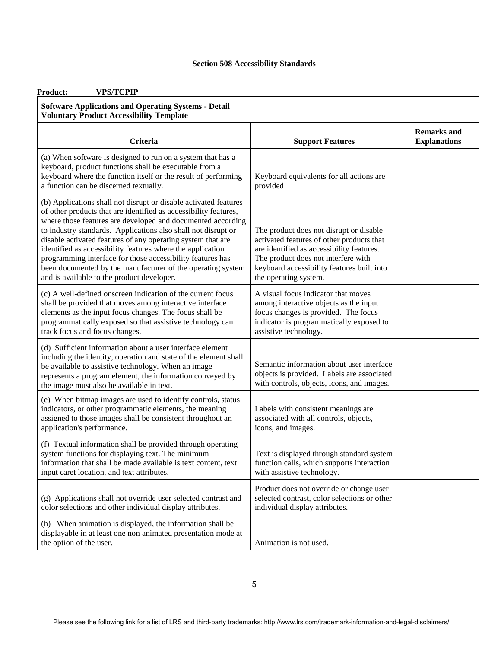| <b>VPS/TCPIP</b><br><b>Product:</b>                                                                                                                                                                                                                                                                                                                                                                                                                                                                                                                                          |                                                                                                                                                                                                                                                 |                                           |
|------------------------------------------------------------------------------------------------------------------------------------------------------------------------------------------------------------------------------------------------------------------------------------------------------------------------------------------------------------------------------------------------------------------------------------------------------------------------------------------------------------------------------------------------------------------------------|-------------------------------------------------------------------------------------------------------------------------------------------------------------------------------------------------------------------------------------------------|-------------------------------------------|
| <b>Software Applications and Operating Systems - Detail</b><br><b>Voluntary Product Accessibility Template</b>                                                                                                                                                                                                                                                                                                                                                                                                                                                               |                                                                                                                                                                                                                                                 |                                           |
| Criteria                                                                                                                                                                                                                                                                                                                                                                                                                                                                                                                                                                     | <b>Support Features</b>                                                                                                                                                                                                                         | <b>Remarks and</b><br><b>Explanations</b> |
| (a) When software is designed to run on a system that has a<br>keyboard, product functions shall be executable from a<br>keyboard where the function itself or the result of performing<br>a function can be discerned textually.                                                                                                                                                                                                                                                                                                                                            | Keyboard equivalents for all actions are<br>provided                                                                                                                                                                                            |                                           |
| (b) Applications shall not disrupt or disable activated features<br>of other products that are identified as accessibility features,<br>where those features are developed and documented according<br>to industry standards. Applications also shall not disrupt or<br>disable activated features of any operating system that are<br>identified as accessibility features where the application<br>programming interface for those accessibility features has<br>been documented by the manufacturer of the operating system<br>and is available to the product developer. | The product does not disrupt or disable<br>activated features of other products that<br>are identified as accessibility features.<br>The product does not interfere with<br>keyboard accessibility features built into<br>the operating system. |                                           |
| (c) A well-defined onscreen indication of the current focus<br>shall be provided that moves among interactive interface<br>elements as the input focus changes. The focus shall be<br>programmatically exposed so that assistive technology can<br>track focus and focus changes.                                                                                                                                                                                                                                                                                            | A visual focus indicator that moves<br>among interactive objects as the input<br>focus changes is provided. The focus<br>indicator is programmatically exposed to<br>assistive technology.                                                      |                                           |
| (d) Sufficient information about a user interface element<br>including the identity, operation and state of the element shall<br>be available to assistive technology. When an image<br>represents a program element, the information conveyed by<br>the image must also be available in text.                                                                                                                                                                                                                                                                               | Semantic information about user interface<br>objects is provided. Labels are associated<br>with controls, objects, icons, and images.                                                                                                           |                                           |
| (e) When bitmap images are used to identify controls, status<br>indicators, or other programmatic elements, the meaning<br>assigned to those images shall be consistent throughout an<br>application's performance.                                                                                                                                                                                                                                                                                                                                                          | Labels with consistent meanings are<br>associated with all controls, objects,<br>icons, and images.                                                                                                                                             |                                           |
| (f) Textual information shall be provided through operating<br>system functions for displaying text. The minimum<br>information that shall be made available is text content, text<br>input caret location, and text attributes.                                                                                                                                                                                                                                                                                                                                             | Text is displayed through standard system<br>function calls, which supports interaction<br>with assistive technology.                                                                                                                           |                                           |
| (g) Applications shall not override user selected contrast and<br>color selections and other individual display attributes.                                                                                                                                                                                                                                                                                                                                                                                                                                                  | Product does not override or change user<br>selected contrast, color selections or other<br>individual display attributes.                                                                                                                      |                                           |
| (h) When animation is displayed, the information shall be<br>displayable in at least one non animated presentation mode at<br>the option of the user.                                                                                                                                                                                                                                                                                                                                                                                                                        | Animation is not used.                                                                                                                                                                                                                          |                                           |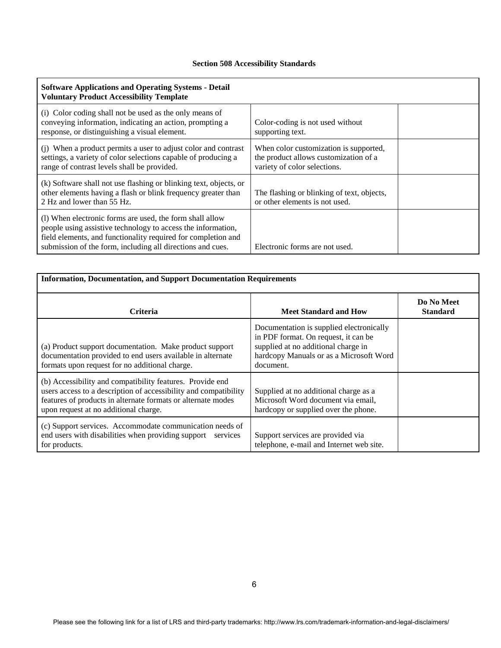| <b>Software Applications and Operating Systems - Detail</b><br><b>Voluntary Product Accessibility Template</b>                                                                                                                                          |                                                                                                                 |  |
|---------------------------------------------------------------------------------------------------------------------------------------------------------------------------------------------------------------------------------------------------------|-----------------------------------------------------------------------------------------------------------------|--|
| (i) Color coding shall not be used as the only means of<br>conveying information, indicating an action, prompting a<br>response, or distinguishing a visual element.                                                                                    | Color-coding is not used without<br>supporting text.                                                            |  |
| (i) When a product permits a user to adjust color and contrast<br>settings, a variety of color selections capable of producing a<br>range of contrast levels shall be provided.                                                                         | When color customization is supported,<br>the product allows customization of a<br>variety of color selections. |  |
| (k) Software shall not use flashing or blinking text, objects, or<br>other elements having a flash or blink frequency greater than<br>2 Hz and lower than 55 Hz.                                                                                        | The flashing or blinking of text, objects,<br>or other elements is not used.                                    |  |
| (1) When electronic forms are used, the form shall allow<br>people using assistive technology to access the information,<br>field elements, and functionality required for completion and<br>submission of the form, including all directions and cues. | Electronic forms are not used.                                                                                  |  |

| <b>Information, Documentation, and Support Documentation Requirements</b>                                                                                                                                                              |                                                                                                                                                                                 |                               |
|----------------------------------------------------------------------------------------------------------------------------------------------------------------------------------------------------------------------------------------|---------------------------------------------------------------------------------------------------------------------------------------------------------------------------------|-------------------------------|
| <b>Criteria</b>                                                                                                                                                                                                                        | <b>Meet Standard and How</b>                                                                                                                                                    | Do No Meet<br><b>Standard</b> |
| (a) Product support documentation. Make product support<br>documentation provided to end users available in alternate<br>formats upon request for no additional charge.                                                                | Documentation is supplied electronically<br>in PDF format. On request, it can be<br>supplied at no additional charge in<br>hardcopy Manuals or as a Microsoft Word<br>document. |                               |
| (b) Accessibility and compatibility features. Provide end<br>users access to a description of accessibility and compatibility<br>features of products in alternate formats or alternate modes<br>upon request at no additional charge. | Supplied at no additional charge as a<br>Microsoft Word document via email,<br>hardcopy or supplied over the phone.                                                             |                               |
| (c) Support services. Accommodate communication needs of<br>end users with disabilities when providing support<br>services<br>for products.                                                                                            | Support services are provided via<br>telephone, e-mail and Internet web site.                                                                                                   |                               |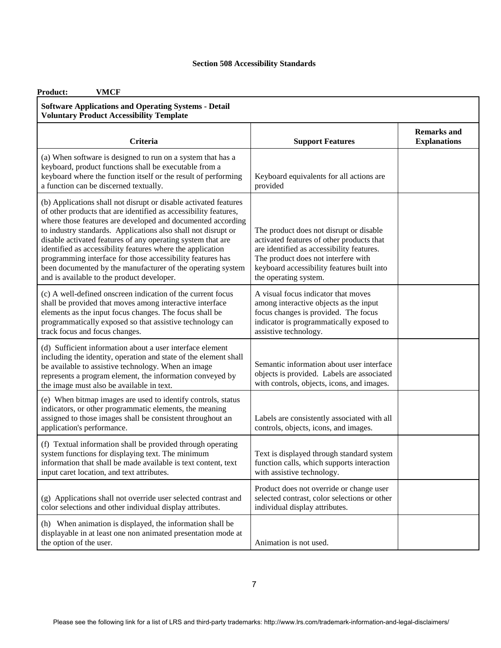| Product:<br><b>VMCF</b>                                                                                                                                                                                                                                                                                                                                                                                                                                                                                                                                                      |                                                                                                                                                                                                                                                 |                                           |
|------------------------------------------------------------------------------------------------------------------------------------------------------------------------------------------------------------------------------------------------------------------------------------------------------------------------------------------------------------------------------------------------------------------------------------------------------------------------------------------------------------------------------------------------------------------------------|-------------------------------------------------------------------------------------------------------------------------------------------------------------------------------------------------------------------------------------------------|-------------------------------------------|
| <b>Software Applications and Operating Systems - Detail</b><br><b>Voluntary Product Accessibility Template</b>                                                                                                                                                                                                                                                                                                                                                                                                                                                               |                                                                                                                                                                                                                                                 |                                           |
| <b>Criteria</b>                                                                                                                                                                                                                                                                                                                                                                                                                                                                                                                                                              | <b>Support Features</b>                                                                                                                                                                                                                         | <b>Remarks and</b><br><b>Explanations</b> |
| (a) When software is designed to run on a system that has a<br>keyboard, product functions shall be executable from a<br>keyboard where the function itself or the result of performing<br>a function can be discerned textually.                                                                                                                                                                                                                                                                                                                                            | Keyboard equivalents for all actions are<br>provided                                                                                                                                                                                            |                                           |
| (b) Applications shall not disrupt or disable activated features<br>of other products that are identified as accessibility features,<br>where those features are developed and documented according<br>to industry standards. Applications also shall not disrupt or<br>disable activated features of any operating system that are<br>identified as accessibility features where the application<br>programming interface for those accessibility features has<br>been documented by the manufacturer of the operating system<br>and is available to the product developer. | The product does not disrupt or disable<br>activated features of other products that<br>are identified as accessibility features.<br>The product does not interfere with<br>keyboard accessibility features built into<br>the operating system. |                                           |
| (c) A well-defined onscreen indication of the current focus<br>shall be provided that moves among interactive interface<br>elements as the input focus changes. The focus shall be<br>programmatically exposed so that assistive technology can<br>track focus and focus changes.                                                                                                                                                                                                                                                                                            | A visual focus indicator that moves<br>among interactive objects as the input<br>focus changes is provided. The focus<br>indicator is programmatically exposed to<br>assistive technology.                                                      |                                           |
| (d) Sufficient information about a user interface element<br>including the identity, operation and state of the element shall<br>be available to assistive technology. When an image<br>represents a program element, the information conveyed by<br>the image must also be available in text.                                                                                                                                                                                                                                                                               | Semantic information about user interface<br>objects is provided. Labels are associated<br>with controls, objects, icons, and images.                                                                                                           |                                           |
| (e) When bitmap images are used to identify controls, status<br>indicators, or other programmatic elements, the meaning<br>assigned to those images shall be consistent throughout an<br>application's performance.                                                                                                                                                                                                                                                                                                                                                          | Labels are consistently associated with all<br>controls, objects, icons, and images.                                                                                                                                                            |                                           |
| (f) Textual information shall be provided through operating<br>system functions for displaying text. The minimum<br>information that shall be made available is text content, text<br>input caret location, and text attributes.                                                                                                                                                                                                                                                                                                                                             | Text is displayed through standard system<br>function calls, which supports interaction<br>with assistive technology.                                                                                                                           |                                           |
| (g) Applications shall not override user selected contrast and<br>color selections and other individual display attributes.                                                                                                                                                                                                                                                                                                                                                                                                                                                  | Product does not override or change user<br>selected contrast, color selections or other<br>individual display attributes.                                                                                                                      |                                           |
| (h) When animation is displayed, the information shall be<br>displayable in at least one non animated presentation mode at<br>the option of the user.                                                                                                                                                                                                                                                                                                                                                                                                                        | Animation is not used.                                                                                                                                                                                                                          |                                           |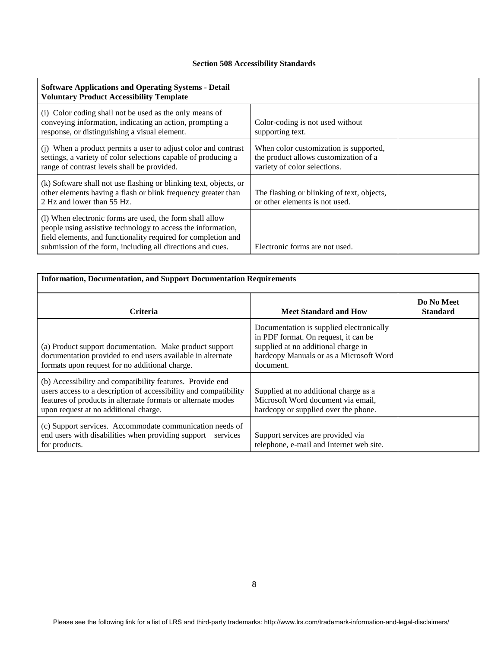| <b>Software Applications and Operating Systems - Detail</b><br><b>Voluntary Product Accessibility Template</b>                                                                                                                                          |                                                                                                                 |  |
|---------------------------------------------------------------------------------------------------------------------------------------------------------------------------------------------------------------------------------------------------------|-----------------------------------------------------------------------------------------------------------------|--|
| (i) Color coding shall not be used as the only means of<br>conveying information, indicating an action, prompting a<br>response, or distinguishing a visual element.                                                                                    | Color-coding is not used without<br>supporting text.                                                            |  |
| (i) When a product permits a user to adjust color and contrast<br>settings, a variety of color selections capable of producing a<br>range of contrast levels shall be provided.                                                                         | When color customization is supported,<br>the product allows customization of a<br>variety of color selections. |  |
| (k) Software shall not use flashing or blinking text, objects, or<br>other elements having a flash or blink frequency greater than<br>2 Hz and lower than 55 Hz.                                                                                        | The flashing or blinking of text, objects,<br>or other elements is not used.                                    |  |
| (1) When electronic forms are used, the form shall allow<br>people using assistive technology to access the information,<br>field elements, and functionality required for completion and<br>submission of the form, including all directions and cues. | Electronic forms are not used.                                                                                  |  |

| <b>Information, Documentation, and Support Documentation Requirements</b>                                                                                                                                                              |                                                                                                                                                                                 |                               |
|----------------------------------------------------------------------------------------------------------------------------------------------------------------------------------------------------------------------------------------|---------------------------------------------------------------------------------------------------------------------------------------------------------------------------------|-------------------------------|
| <b>Criteria</b>                                                                                                                                                                                                                        | <b>Meet Standard and How</b>                                                                                                                                                    | Do No Meet<br><b>Standard</b> |
| (a) Product support documentation. Make product support<br>documentation provided to end users available in alternate<br>formats upon request for no additional charge.                                                                | Documentation is supplied electronically<br>in PDF format. On request, it can be<br>supplied at no additional charge in<br>hardcopy Manuals or as a Microsoft Word<br>document. |                               |
| (b) Accessibility and compatibility features. Provide end<br>users access to a description of accessibility and compatibility<br>features of products in alternate formats or alternate modes<br>upon request at no additional charge. | Supplied at no additional charge as a<br>Microsoft Word document via email,<br>hardcopy or supplied over the phone.                                                             |                               |
| (c) Support services. Accommodate communication needs of<br>end users with disabilities when providing support<br>services<br>for products.                                                                                            | Support services are provided via<br>telephone, e-mail and Internet web site.                                                                                                   |                               |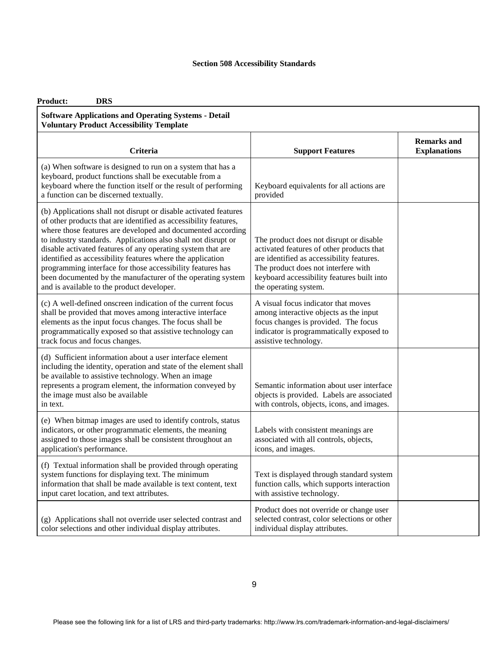| <b>Product:</b><br><b>DRS</b>                                                                                                                                                                                                                                                                                                                                                                                                                                                                                                                                                |                                                                                                                                                                                                                                                 |                                           |
|------------------------------------------------------------------------------------------------------------------------------------------------------------------------------------------------------------------------------------------------------------------------------------------------------------------------------------------------------------------------------------------------------------------------------------------------------------------------------------------------------------------------------------------------------------------------------|-------------------------------------------------------------------------------------------------------------------------------------------------------------------------------------------------------------------------------------------------|-------------------------------------------|
| <b>Software Applications and Operating Systems - Detail</b><br><b>Voluntary Product Accessibility Template</b>                                                                                                                                                                                                                                                                                                                                                                                                                                                               |                                                                                                                                                                                                                                                 |                                           |
| <b>Criteria</b>                                                                                                                                                                                                                                                                                                                                                                                                                                                                                                                                                              | <b>Support Features</b>                                                                                                                                                                                                                         | <b>Remarks and</b><br><b>Explanations</b> |
| (a) When software is designed to run on a system that has a<br>keyboard, product functions shall be executable from a<br>keyboard where the function itself or the result of performing<br>a function can be discerned textually.                                                                                                                                                                                                                                                                                                                                            | Keyboard equivalents for all actions are<br>provided                                                                                                                                                                                            |                                           |
| (b) Applications shall not disrupt or disable activated features<br>of other products that are identified as accessibility features,<br>where those features are developed and documented according<br>to industry standards. Applications also shall not disrupt or<br>disable activated features of any operating system that are<br>identified as accessibility features where the application<br>programming interface for those accessibility features has<br>been documented by the manufacturer of the operating system<br>and is available to the product developer. | The product does not disrupt or disable<br>activated features of other products that<br>are identified as accessibility features.<br>The product does not interfere with<br>keyboard accessibility features built into<br>the operating system. |                                           |
| (c) A well-defined onscreen indication of the current focus<br>shall be provided that moves among interactive interface<br>elements as the input focus changes. The focus shall be<br>programmatically exposed so that assistive technology can<br>track focus and focus changes.                                                                                                                                                                                                                                                                                            | A visual focus indicator that moves<br>among interactive objects as the input<br>focus changes is provided. The focus<br>indicator is programmatically exposed to<br>assistive technology.                                                      |                                           |
| (d) Sufficient information about a user interface element<br>including the identity, operation and state of the element shall<br>be available to assistive technology. When an image<br>represents a program element, the information conveyed by<br>the image must also be available<br>in text.                                                                                                                                                                                                                                                                            | Semantic information about user interface<br>objects is provided. Labels are associated<br>with controls, objects, icons, and images.                                                                                                           |                                           |
| (e) When bitmap images are used to identify controls, status<br>indicators, or other programmatic elements, the meaning<br>assigned to those images shall be consistent throughout an<br>application's performance.                                                                                                                                                                                                                                                                                                                                                          | Labels with consistent meanings are<br>associated with all controls, objects,<br>icons, and images.                                                                                                                                             |                                           |
| (f) Textual information shall be provided through operating<br>system functions for displaying text. The minimum<br>information that shall be made available is text content, text<br>input caret location, and text attributes.                                                                                                                                                                                                                                                                                                                                             | Text is displayed through standard system<br>function calls, which supports interaction<br>with assistive technology.                                                                                                                           |                                           |
| (g) Applications shall not override user selected contrast and<br>color selections and other individual display attributes.                                                                                                                                                                                                                                                                                                                                                                                                                                                  | Product does not override or change user<br>selected contrast, color selections or other<br>individual display attributes.                                                                                                                      |                                           |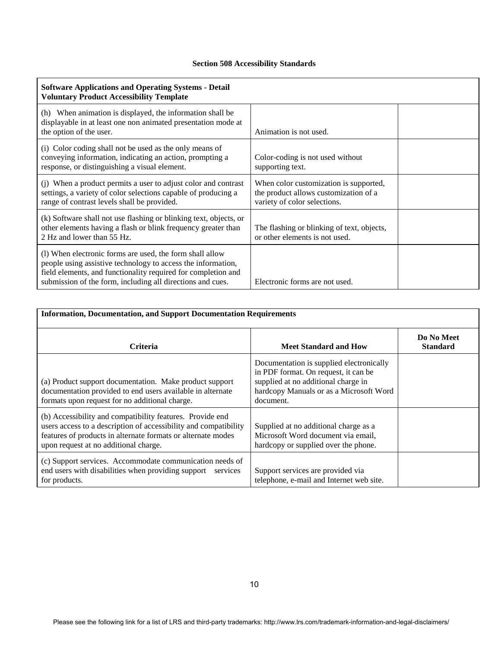| <b>Software Applications and Operating Systems - Detail</b><br><b>Voluntary Product Accessibility Template</b>                                                                                                                                          |                                                                                                                 |  |
|---------------------------------------------------------------------------------------------------------------------------------------------------------------------------------------------------------------------------------------------------------|-----------------------------------------------------------------------------------------------------------------|--|
| (h) When animation is displayed, the information shall be<br>displayable in at least one non animated presentation mode at<br>the option of the user.                                                                                                   | Animation is not used.                                                                                          |  |
| (i) Color coding shall not be used as the only means of<br>conveying information, indicating an action, prompting a<br>response, or distinguishing a visual element.                                                                                    | Color-coding is not used without<br>supporting text.                                                            |  |
| (j) When a product permits a user to adjust color and contrast<br>settings, a variety of color selections capable of producing a<br>range of contrast levels shall be provided.                                                                         | When color customization is supported,<br>the product allows customization of a<br>variety of color selections. |  |
| (k) Software shall not use flashing or blinking text, objects, or<br>other elements having a flash or blink frequency greater than<br>2 Hz and lower than 55 Hz.                                                                                        | The flashing or blinking of text, objects,<br>or other elements is not used.                                    |  |
| (1) When electronic forms are used, the form shall allow<br>people using assistive technology to access the information,<br>field elements, and functionality required for completion and<br>submission of the form, including all directions and cues. | Electronic forms are not used.                                                                                  |  |

| <b>Information, Documentation, and Support Documentation Requirements</b>                                                                                                                                                              |                                                                                                                                                                                 |                               |
|----------------------------------------------------------------------------------------------------------------------------------------------------------------------------------------------------------------------------------------|---------------------------------------------------------------------------------------------------------------------------------------------------------------------------------|-------------------------------|
| <b>Criteria</b>                                                                                                                                                                                                                        | <b>Meet Standard and How</b>                                                                                                                                                    | Do No Meet<br><b>Standard</b> |
| (a) Product support documentation. Make product support<br>documentation provided to end users available in alternate<br>formats upon request for no additional charge.                                                                | Documentation is supplied electronically<br>in PDF format. On request, it can be<br>supplied at no additional charge in<br>hardcopy Manuals or as a Microsoft Word<br>document. |                               |
| (b) Accessibility and compatibility features. Provide end<br>users access to a description of accessibility and compatibility<br>features of products in alternate formats or alternate modes<br>upon request at no additional charge. | Supplied at no additional charge as a<br>Microsoft Word document via email,<br>hardcopy or supplied over the phone.                                                             |                               |
| (c) Support services. Accommodate communication needs of<br>end users with disabilities when providing support<br>services<br>for products.                                                                                            | Support services are provided via<br>telephone, e-mail and Internet web site.                                                                                                   |                               |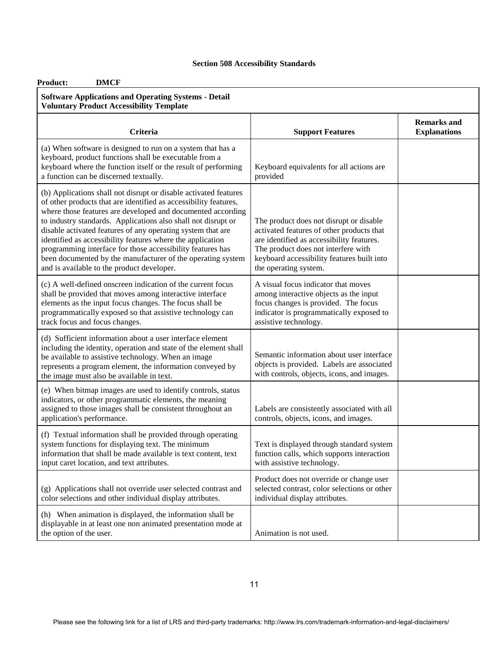| <b>DMCF</b><br><b>Product:</b><br><b>Software Applications and Operating Systems - Detail</b><br><b>Voluntary Product Accessibility Template</b>                                                                                                                                                                                                                                                                                                                                                                                                                             |                                                                                                                                                                                                                                                 |                                           |
|------------------------------------------------------------------------------------------------------------------------------------------------------------------------------------------------------------------------------------------------------------------------------------------------------------------------------------------------------------------------------------------------------------------------------------------------------------------------------------------------------------------------------------------------------------------------------|-------------------------------------------------------------------------------------------------------------------------------------------------------------------------------------------------------------------------------------------------|-------------------------------------------|
| <b>Criteria</b>                                                                                                                                                                                                                                                                                                                                                                                                                                                                                                                                                              | <b>Support Features</b>                                                                                                                                                                                                                         | <b>Remarks and</b><br><b>Explanations</b> |
| (a) When software is designed to run on a system that has a<br>keyboard, product functions shall be executable from a<br>keyboard where the function itself or the result of performing<br>a function can be discerned textually.                                                                                                                                                                                                                                                                                                                                            | Keyboard equivalents for all actions are<br>provided                                                                                                                                                                                            |                                           |
| (b) Applications shall not disrupt or disable activated features<br>of other products that are identified as accessibility features,<br>where those features are developed and documented according<br>to industry standards. Applications also shall not disrupt or<br>disable activated features of any operating system that are<br>identified as accessibility features where the application<br>programming interface for those accessibility features has<br>been documented by the manufacturer of the operating system<br>and is available to the product developer. | The product does not disrupt or disable<br>activated features of other products that<br>are identified as accessibility features.<br>The product does not interfere with<br>keyboard accessibility features built into<br>the operating system. |                                           |
| (c) A well-defined onscreen indication of the current focus<br>shall be provided that moves among interactive interface<br>elements as the input focus changes. The focus shall be<br>programmatically exposed so that assistive technology can<br>track focus and focus changes.                                                                                                                                                                                                                                                                                            | A visual focus indicator that moves<br>among interactive objects as the input<br>focus changes is provided. The focus<br>indicator is programmatically exposed to<br>assistive technology.                                                      |                                           |
| (d) Sufficient information about a user interface element<br>including the identity, operation and state of the element shall<br>be available to assistive technology. When an image<br>represents a program element, the information conveyed by<br>the image must also be available in text.                                                                                                                                                                                                                                                                               | Semantic information about user interface<br>objects is provided. Labels are associated<br>with controls, objects, icons, and images.                                                                                                           |                                           |
| (e) When bitmap images are used to identify controls, status<br>indicators, or other programmatic elements, the meaning<br>assigned to those images shall be consistent throughout an<br>application's performance.                                                                                                                                                                                                                                                                                                                                                          | Labels are consistently associated with all<br>controls, objects, icons, and images.                                                                                                                                                            |                                           |
| (f) Textual information shall be provided through operating<br>system functions for displaying text. The minimum<br>information that shall be made available is text content, text<br>input caret location, and text attributes.                                                                                                                                                                                                                                                                                                                                             | Text is displayed through standard system<br>function calls, which supports interaction<br>with assistive technology.                                                                                                                           |                                           |
| (g) Applications shall not override user selected contrast and<br>color selections and other individual display attributes.                                                                                                                                                                                                                                                                                                                                                                                                                                                  | Product does not override or change user<br>selected contrast, color selections or other<br>individual display attributes.                                                                                                                      |                                           |
| (h) When animation is displayed, the information shall be<br>displayable in at least one non animated presentation mode at<br>the option of the user.                                                                                                                                                                                                                                                                                                                                                                                                                        | Animation is not used.                                                                                                                                                                                                                          |                                           |